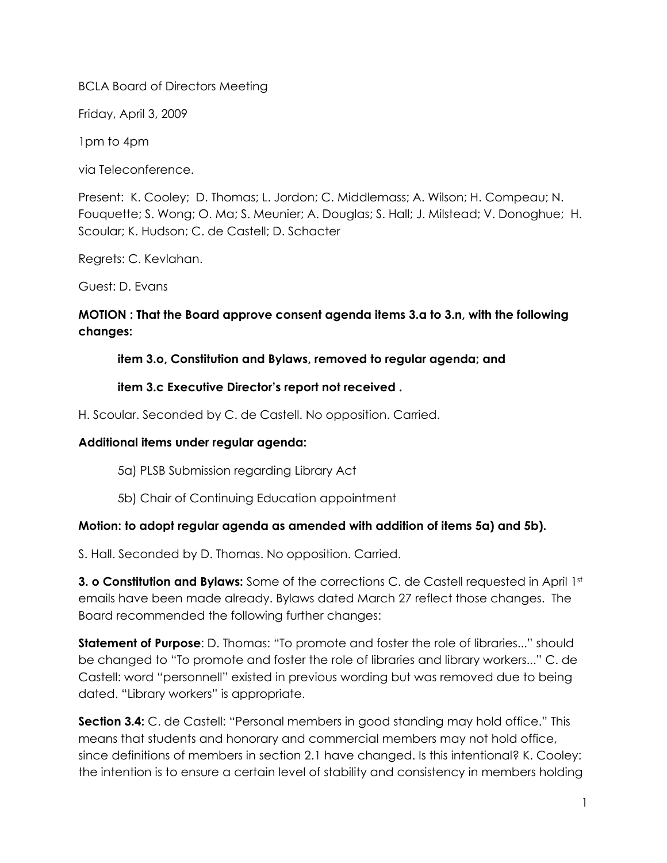BCLA Board of Directors Meeting

Friday, April 3, 2009

1pm to 4pm

via Teleconference.

Present: K. Cooley; D. Thomas; L. Jordon; C. Middlemass; A. Wilson; H. Compeau; N. Fouquette; S. Wong; O. Ma; S. Meunier; A. Douglas; S. Hall; J. Milstead; V. Donoghue; H. Scoular; K. Hudson; C. de Castell; D. Schacter

Regrets: C. Kevlahan.

Guest: D. Evans

# **MOTION : That the Board approve consent agenda items 3.a to 3.n, with the following changes:**

#### **item 3.o, Constitution and Bylaws, removed to regular agenda; and**

#### **item 3.c Executive Director's report not received .**

H. Scoular. Seconded by C. de Castell. No opposition. Carried.

#### **Additional items under regular agenda:**

- 5a) PLSB Submission regarding Library Act
- 5b) Chair of Continuing Education appointment

#### **Motion: to adopt regular agenda as amended with addition of items 5a) and 5b).**

S. Hall. Seconded by D. Thomas. No opposition. Carried.

**3. o Constitution and Bylaws:** Some of the corrections C. de Castell requested in April 1st emails have been made already. Bylaws dated March 27 reflect those changes. The Board recommended the following further changes:

**Statement of Purpose**: D. Thomas: "To promote and foster the role of libraries..." should be changed to "To promote and foster the role of libraries and library workers..." C. de Castell: word "personnell" existed in previous wording but was removed due to being dated. "Library workers" is appropriate.

**Section 3.4:** C. de Castell: "Personal members in good standing may hold office." This means that students and honorary and commercial members may not hold office, since definitions of members in section 2.1 have changed. Is this intentional? K. Cooley: the intention is to ensure a certain level of stability and consistency in members holding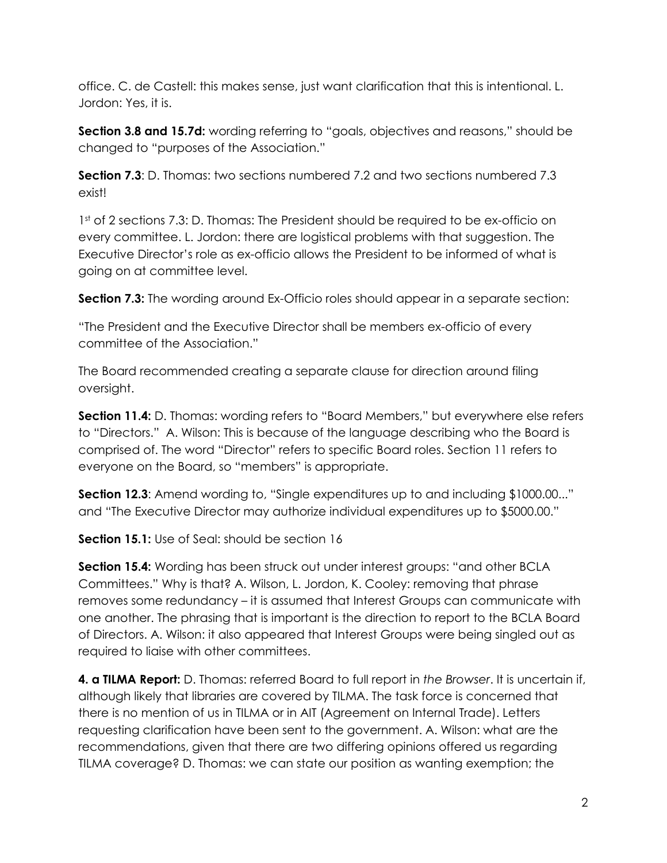office. C. de Castell: this makes sense, just want clarification that this is intentional. L. Jordon: Yes, it is.

**Section 3.8 and 15.7d:** wording referring to "goals, objectives and reasons," should be changed to "purposes of the Association."

**Section 7.3**: D. Thomas: two sections numbered 7.2 and two sections numbered 7.3 exist!

1st of 2 sections 7.3: D. Thomas: The President should be required to be ex-officio on every committee. L. Jordon: there are logistical problems with that suggestion. The Executive Director's role as ex-officio allows the President to be informed of what is going on at committee level.

**Section 7.3:** The wording around Ex-Officio roles should appear in a separate section:

"The President and the Executive Director shall be members ex-officio of every committee of the Association."

The Board recommended creating a separate clause for direction around filing oversight.

**Section 11.4:** D. Thomas: wording refers to "Board Members," but everywhere else refers to "Directors." A. Wilson: This is because of the language describing who the Board is comprised of. The word "Director" refers to specific Board roles. Section 11 refers to everyone on the Board, so "members" is appropriate.

**Section 12.3**: Amend wording to, "Single expenditures up to and including \$1000.00..." and "The Executive Director may authorize individual expenditures up to \$5000.00."

**Section 15.1:** Use of Seal: should be section 16

**Section 15.4:** Wording has been struck out under interest groups: "and other BCLA Committees." Why is that? A. Wilson, L. Jordon, K. Cooley: removing that phrase removes some redundancy – it is assumed that Interest Groups can communicate with one another. The phrasing that is important is the direction to report to the BCLA Board of Directors. A. Wilson: it also appeared that Interest Groups were being singled out as required to liaise with other committees.

**4. a TILMA Report:** D. Thomas: referred Board to full report in *the Browser*. It is uncertain if, although likely that libraries are covered by TILMA. The task force is concerned that there is no mention of us in TILMA or in AIT (Agreement on Internal Trade). Letters requesting clarification have been sent to the government. A. Wilson: what are the recommendations, given that there are two differing opinions offered us regarding TILMA coverage? D. Thomas: we can state our position as wanting exemption; the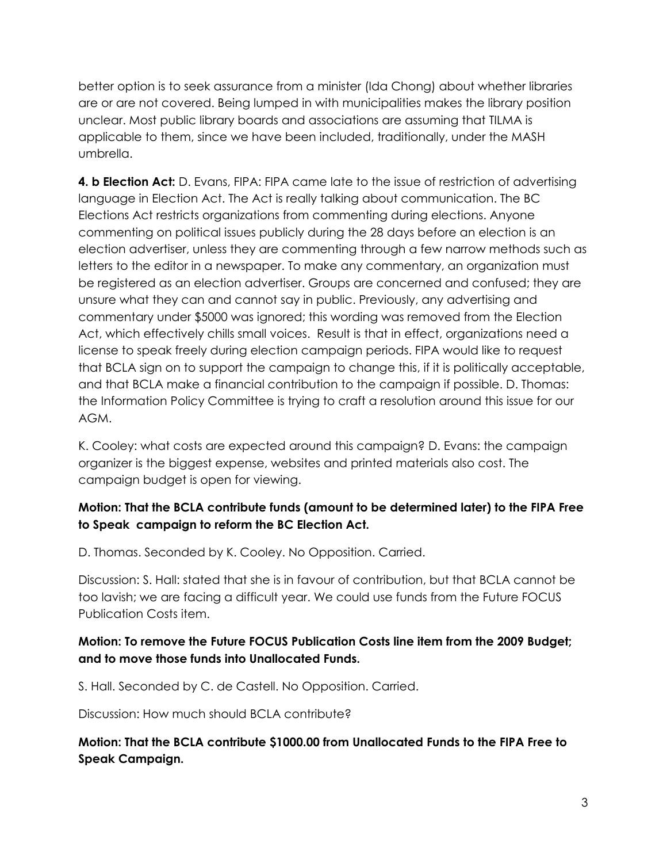better option is to seek assurance from a minister (Ida Chong) about whether libraries are or are not covered. Being lumped in with municipalities makes the library position unclear. Most public library boards and associations are assuming that TILMA is applicable to them, since we have been included, traditionally, under the MASH umbrella.

**4. b Election Act:** D. Evans, FIPA: FIPA came late to the issue of restriction of advertising language in Election Act. The Act is really talking about communication. The BC Elections Act restricts organizations from commenting during elections. Anyone commenting on political issues publicly during the 28 days before an election is an election advertiser, unless they are commenting through a few narrow methods such as letters to the editor in a newspaper. To make any commentary, an organization must be registered as an election advertiser. Groups are concerned and confused; they are unsure what they can and cannot say in public. Previously, any advertising and commentary under \$5000 was ignored; this wording was removed from the Election Act, which effectively chills small voices. Result is that in effect, organizations need a license to speak freely during election campaign periods. FIPA would like to request that BCLA sign on to support the campaign to change this, if it is politically acceptable, and that BCLA make a financial contribution to the campaign if possible. D. Thomas: the Information Policy Committee is trying to craft a resolution around this issue for our AGM.

K. Cooley: what costs are expected around this campaign? D. Evans: the campaign organizer is the biggest expense, websites and printed materials also cost. The campaign budget is open for viewing.

## **Motion: That the BCLA contribute funds (amount to be determined later) to the FIPA Free to Speak campaign to reform the BC Election Act.**

D. Thomas. Seconded by K. Cooley. No Opposition. Carried.

Discussion: S. Hall: stated that she is in favour of contribution, but that BCLA cannot be too lavish; we are facing a difficult year. We could use funds from the Future FOCUS Publication Costs item.

## **Motion: To remove the Future FOCUS Publication Costs line item from the 2009 Budget; and to move those funds into Unallocated Funds.**

S. Hall. Seconded by C. de Castell. No Opposition. Carried.

Discussion: How much should BCLA contribute?

## **Motion: That the BCLA contribute \$1000.00 from Unallocated Funds to the FIPA Free to Speak Campaign.**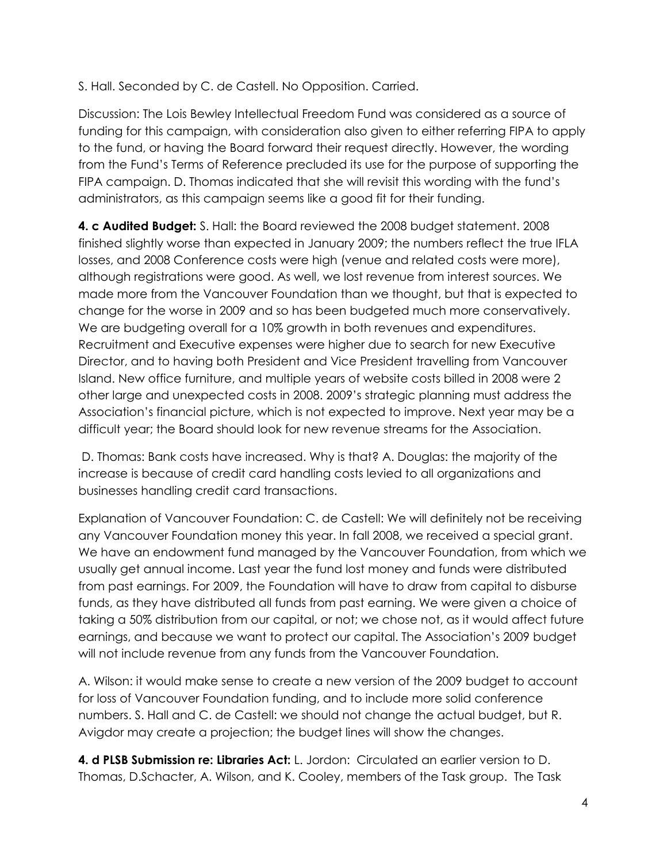S. Hall. Seconded by C. de Castell. No Opposition. Carried.

Discussion: The Lois Bewley Intellectual Freedom Fund was considered as a source of funding for this campaign, with consideration also given to either referring FIPA to apply to the fund, or having the Board forward their request directly. However, the wording from the Fund's Terms of Reference precluded its use for the purpose of supporting the FIPA campaign. D. Thomas indicated that she will revisit this wording with the fund's administrators, as this campaign seems like a good fit for their funding.

**4. c Audited Budget:** S. Hall: the Board reviewed the 2008 budget statement. 2008 finished slightly worse than expected in January 2009; the numbers reflect the true IFLA losses, and 2008 Conference costs were high (venue and related costs were more), although registrations were good. As well, we lost revenue from interest sources. We made more from the Vancouver Foundation than we thought, but that is expected to change for the worse in 2009 and so has been budgeted much more conservatively. We are budgeting overall for a 10% growth in both revenues and expenditures. Recruitment and Executive expenses were higher due to search for new Executive Director, and to having both President and Vice President travelling from Vancouver Island. New office furniture, and multiple years of website costs billed in 2008 were 2 other large and unexpected costs in 2008. 2009's strategic planning must address the Association's financial picture, which is not expected to improve. Next year may be a difficult year; the Board should look for new revenue streams for the Association.

 D. Thomas: Bank costs have increased. Why is that? A. Douglas: the majority of the increase is because of credit card handling costs levied to all organizations and businesses handling credit card transactions.

Explanation of Vancouver Foundation: C. de Castell: We will definitely not be receiving any Vancouver Foundation money this year. In fall 2008, we received a special grant. We have an endowment fund managed by the Vancouver Foundation, from which we usually get annual income. Last year the fund lost money and funds were distributed from past earnings. For 2009, the Foundation will have to draw from capital to disburse funds, as they have distributed all funds from past earning. We were given a choice of taking a 50% distribution from our capital, or not; we chose not, as it would affect future earnings, and because we want to protect our capital. The Association's 2009 budget will not include revenue from any funds from the Vancouver Foundation.

A. Wilson: it would make sense to create a new version of the 2009 budget to account for loss of Vancouver Foundation funding, and to include more solid conference numbers. S. Hall and C. de Castell: we should not change the actual budget, but R. Avigdor may create a projection; the budget lines will show the changes.

**4. d PLSB Submission re: Libraries Act:** L. Jordon: Circulated an earlier version to D. Thomas, D.Schacter, A. Wilson, and K. Cooley, members of the Task group. The Task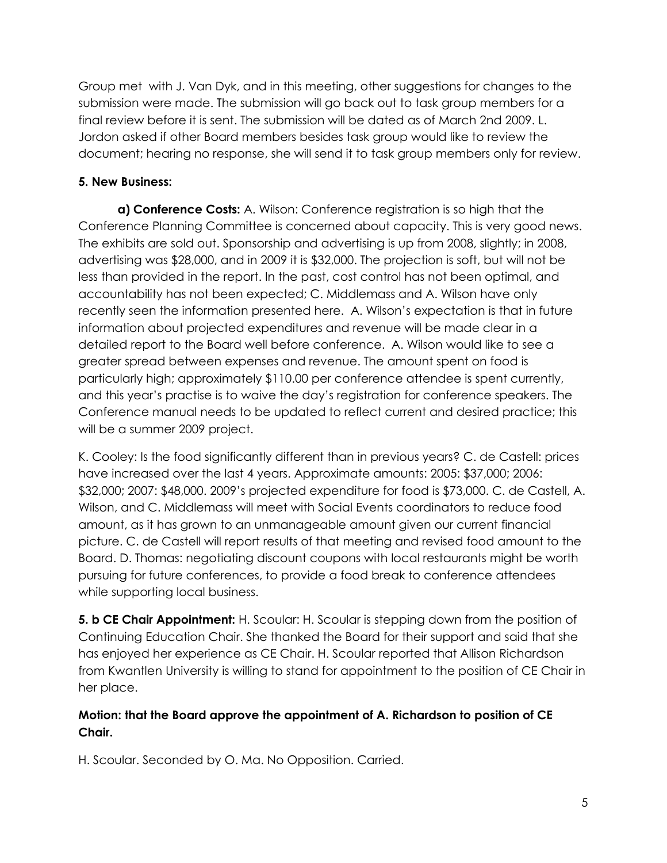Group met with J. Van Dyk, and in this meeting, other suggestions for changes to the submission were made. The submission will go back out to task group members for a final review before it is sent. The submission will be dated as of March 2nd 2009. L. Jordon asked if other Board members besides task group would like to review the document; hearing no response, she will send it to task group members only for review.

## **5. New Business:**

**a) Conference Costs:** A. Wilson: Conference registration is so high that the Conference Planning Committee is concerned about capacity. This is very good news. The exhibits are sold out. Sponsorship and advertising is up from 2008, slightly; in 2008, advertising was \$28,000, and in 2009 it is \$32,000. The projection is soft, but will not be less than provided in the report. In the past, cost control has not been optimal, and accountability has not been expected; C. Middlemass and A. Wilson have only recently seen the information presented here. A. Wilson's expectation is that in future information about projected expenditures and revenue will be made clear in a detailed report to the Board well before conference. A. Wilson would like to see a greater spread between expenses and revenue. The amount spent on food is particularly high; approximately \$110.00 per conference attendee is spent currently, and this year's practise is to waive the day's registration for conference speakers. The Conference manual needs to be updated to reflect current and desired practice; this will be a summer 2009 project.

K. Cooley: Is the food significantly different than in previous years? C. de Castell: prices have increased over the last 4 years. Approximate amounts: 2005: \$37,000; 2006: \$32,000; 2007: \$48,000. 2009's projected expenditure for food is \$73,000. C. de Castell, A. Wilson, and C. Middlemass will meet with Social Events coordinators to reduce food amount, as it has grown to an unmanageable amount given our current financial picture. C. de Castell will report results of that meeting and revised food amount to the Board. D. Thomas: negotiating discount coupons with local restaurants might be worth pursuing for future conferences, to provide a food break to conference attendees while supporting local business.

**5. b CE Chair Appointment:** H. Scoular: H. Scoular is stepping down from the position of Continuing Education Chair. She thanked the Board for their support and said that she has enjoyed her experience as CE Chair. H. Scoular reported that Allison Richardson from Kwantlen University is willing to stand for appointment to the position of CE Chair in her place.

## **Motion: that the Board approve the appointment of A. Richardson to position of CE Chair.**

H. Scoular. Seconded by O. Ma. No Opposition. Carried.